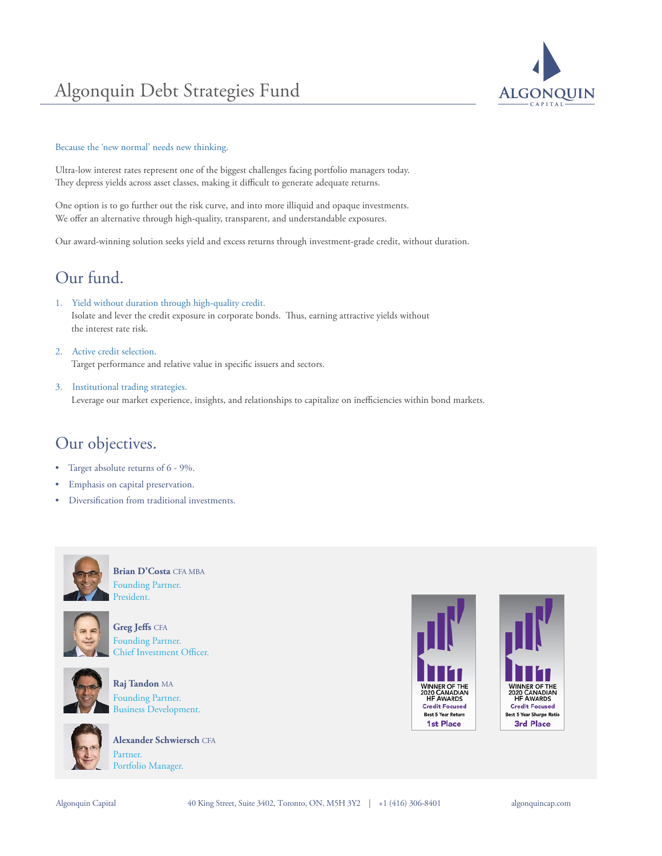# Algonquin Debt Strategies Fund



#### Because the 'new normal' needs new thinking.

Ultra-low interest rates represent one of the biggest challenges facing portfolio managers today. They depress yields across asset classes, making it difficult to generate adequate returns.

One option is to go further out the risk curve, and into more illiquid and opaque investments. We offer an alternative through high-quality, transparent, and understandable exposures.

Our award-winning solution seeks yield and excess returns through investment-grade credit, without duration.

## Our fund.

- 1. Yield without duration through high-quality credit. Isolate and lever the credit exposure in corporate bonds. Thus, earning attractive yields without the interest rate risk.
- 2. Active credit selection. Target performance and relative value in specific issuers and sectors.
- 3. Institutional trading strategies. Leverage our market experience, insights, and relationships to capitalize on inefficiencies within bond markets.

## Our objectives.

- Target absolute returns of 6 9%.
- Emphasis on capital preservation.
- Diversification from traditional investments.



**Brian D'Costa** CFA MBA Founding Partner. President.



**Greg Jeffs** CFA Founding Partner. Chief Investment Officer.



**Raj Tandon** MA Founding Partner. Business Development.



**Alexander Schwiersch** CFA Partner. Portfolio Manager.